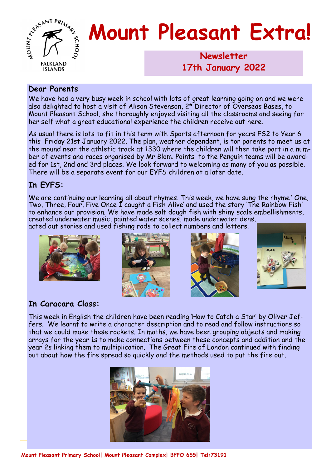

# **Mount Pleasant Extra!**

**Newsletter 1986 17th January 2022**

## **Dear Parents**

We have had a very busy week in school with lots of great learning going on and we were also delighted to host a visit of Alison Stevenson, 2\* Director of Overseas Bases, to Mount Pleasant School, she thoroughly enjoyed visiting all the classrooms and seeing for her self what a great educational experience the children receive out here.

As usual there is lots to fit in this term with Sports afternoon for years FS2 to Year 6 this Friday 21st January 2022. The plan, weather dependent, is tor parents to meet us at the mound near the athletic track at 1330 where the children will then take part in a number of events and races organised by Mr Blom. Points to the Penguin teams will be awarded for 1st, 2nd and 3rd places. We look forward to welcoming as many of you as possible. There will be a separate event for our EYFS children at a later date.

## **In EYFS:**

We are continuing our learning all about rhymes. This week, we have sung the rhyme ' One, Two, Three, Four, Five Once I caught a Fish Alive' and used the story 'The Rainbow Fish' to enhance our provision. We have made salt dough fish with shiny scale embellishments, created underwater music, painted water scenes, made underwater dens,

acted out stories and used fishing rods to collect numbers and letters.









## **In Caracara Class:**

This week in English the children have been reading 'How to Catch a Star' by Oliver Jeffers. We learnt to write a character description and to read and follow instructions so that we could make these rockets. In maths, we have been grouping objects and making arrays for the year 1s to make connections between these concepts and addition and the year 2s linking them to multiplication. The Great Fire of London continued with finding out about how the fire spread so quickly and the methods used to put the fire out.

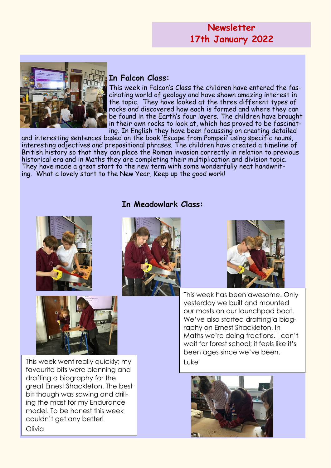## **Newsletter 17th January 2022**



## **In Falcon Class:**

This week in Falcon's Class the children have entered the fascinating world of geology and have shown amazing interest in the topic. They have looked at the three different types of rocks and discovered how each is formed and where they can be found in the Earth's four layers. The children have brought in their own rocks to look at, which has proved to be fascinating. In English they have been focussing on creating detailed

and interesting sentences based on the book 'Escape from Pompeii' using specific nouns, interesting adjectives and prepositional phrases. The children have created a timeline of British history so that they can place the Roman invasion correctly in relation to previous historical era and in Maths they are completing their multiplication and division topic. They have made a great start to the new term with some wonderfully neat handwriting. What a lovely start to the New Year, Keep up the good work!

#### **In Meadowlark Class:**





This week went really quickly; my Luke favourite bits were planning and drafting a biography for the great Ernest Shackleton. The best bit though was sawing and drilling the mast for my Endurance model. To be honest this week couldn't get any better! Olivia





This week has been awesome. Only yesterday we built and mounted our masts on our launchpad boat. We've also started drafting a biography on Ernest Shackleton. In Maths we're doing fractions. I can't wait for forest school; it feels like it's been ages since we've been.